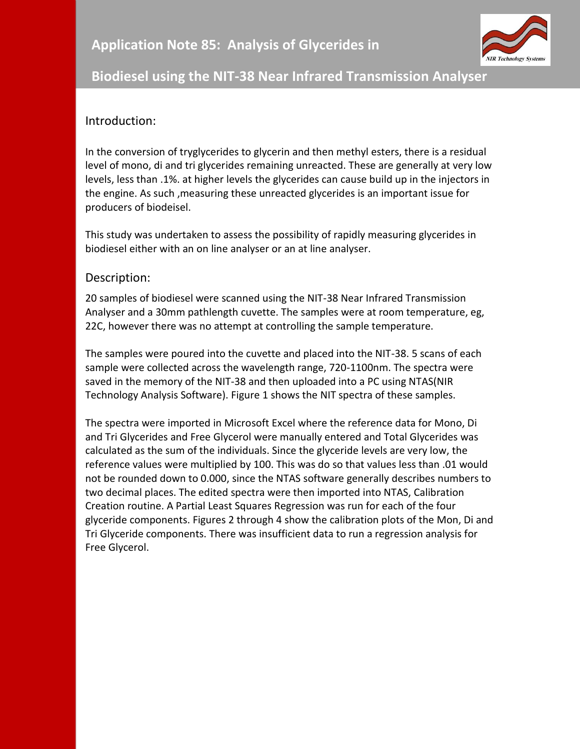

## **Biodiesel using the NIT-38 Near Infrared Transmission Analyser**

## Introduction:

In the conversion of tryglycerides to glycerin and then methyl esters, there is a residual level of mono, di and tri glycerides remaining unreacted. These are generally at very low levels, less than .1%. at higher levels the glycerides can cause build up in the injectors in the engine. As such ,measuring these unreacted glycerides is an important issue for producers of biodeisel.

This study was undertaken to assess the possibility of rapidly measuring glycerides in biodiesel either with an on line analyser or an at line analyser.

## Description:

20 samples of biodiesel were scanned using the NIT-38 Near Infrared Transmission Analyser and a 30mm pathlength cuvette. The samples were at room temperature, eg, 22C, however there was no attempt at controlling the sample temperature.

The samples were poured into the cuvette and placed into the NIT-38. 5 scans of each sample were collected across the wavelength range, 720-1100nm. The spectra were saved in the memory of the NIT-38 and then uploaded into a PC using NTAS(NIR Technology Analysis Software). Figure 1 shows the NIT spectra of these samples.

The spectra were imported in Microsoft Excel where the reference data for Mono, Di and Tri Glycerides and Free Glycerol were manually entered and Total Glycerides was calculated as the sum of the individuals. Since the glyceride levels are very low, the reference values were multiplied by 100. This was do so that values less than .01 would not be rounded down to 0.000, since the NTAS software generally describes numbers to two decimal places. The edited spectra were then imported into NTAS, Calibration Creation routine. A Partial Least Squares Regression was run for each of the four glyceride components. Figures 2 through 4 show the calibration plots of the Mon, Di and Tri Glyceride components. There was insufficient data to run a regression analysis for Free Glycerol.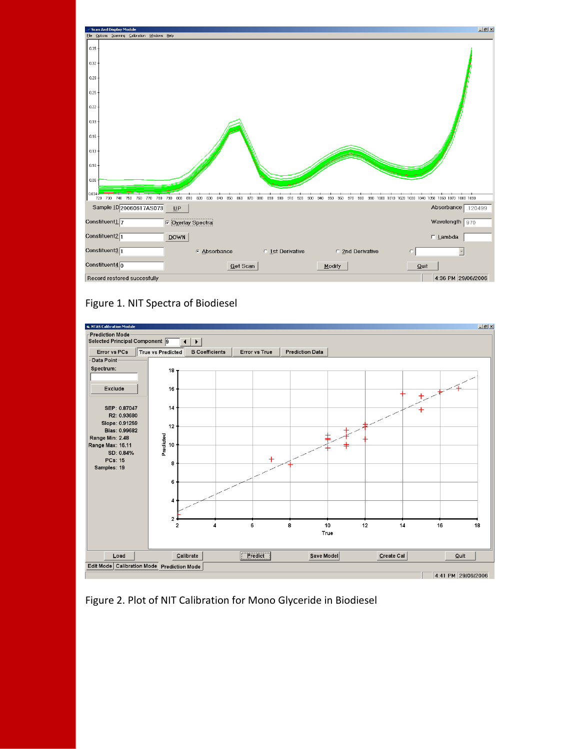





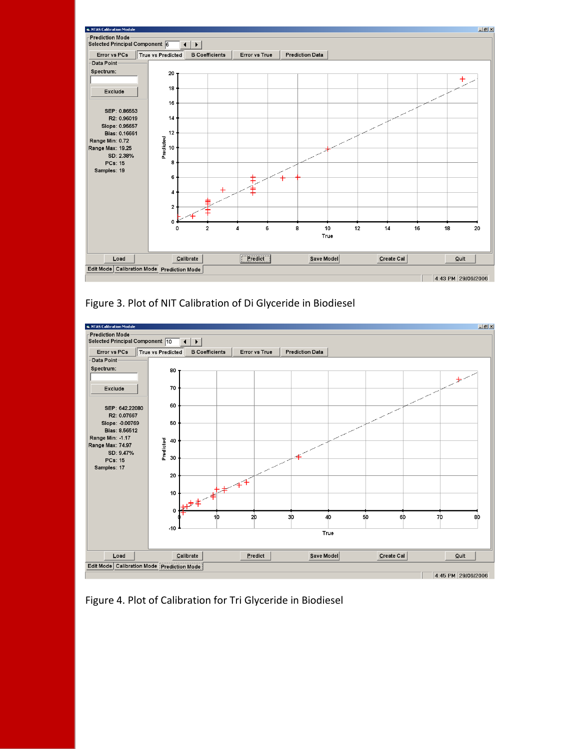

Figure 3. Plot of NIT Calibration of Di Glyceride in Biodiesel



Figure 4. Plot of Calibration for Tri Glyceride in Biodiesel